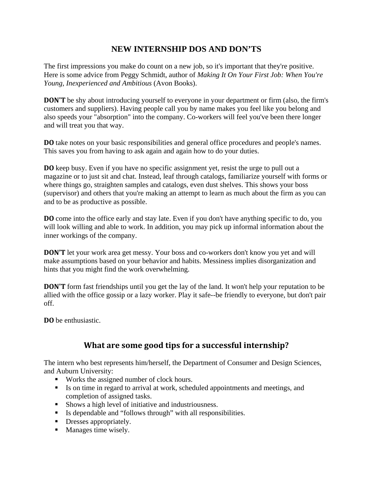## **NEW INTERNSHIP DOS AND DON'TS**

The first impressions you make do count on a new job, so it's important that they're positive. Here is some advice from Peggy Schmidt, author of *Making It On Your First Job: When You're Young, Inexperienced and Ambitious* (Avon Books).

**DON'T** be shy about introducing yourself to everyone in your department or firm (also, the firm's customers and suppliers). Having people call you by name makes you feel like you belong and also speeds your "absorption" into the company. Co-workers will feel you've been there longer and will treat you that way.

**DO** take notes on your basic responsibilities and general office procedures and people's names. This saves you from having to ask again and again how to do your duties.

**DO** keep busy. Even if you have no specific assignment yet, resist the urge to pull out a magazine or to just sit and chat. Instead, leaf through catalogs, familiarize yourself with forms or where things go, straighten samples and catalogs, even dust shelves. This shows your boss (supervisor) and others that you're making an attempt to learn as much about the firm as you can and to be as productive as possible.

**DO** come into the office early and stay late. Even if you don't have anything specific to do, you will look willing and able to work. In addition, you may pick up informal information about the inner workings of the company.

**DON'T** let your work area get messy. Your boss and co-workers don't know you yet and will make assumptions based on your behavior and habits. Messiness implies disorganization and hints that you might find the work overwhelming.

**DON'T** form fast friendships until you get the lay of the land. It won't help your reputation to be allied with the office gossip or a lazy worker. Play it safe--be friendly to everyone, but don't pair off.

**DO** be enthusiastic.

## **What are some good tips for a successful internship?**

The intern who best represents him/herself, the Department of Consumer and Design Sciences, and Auburn University:

- Works the assigned number of clock hours.
- Is on time in regard to arrival at work, scheduled appointments and meetings, and completion of assigned tasks.
- **Shows a high level of initiative and industriousness.**
- Is dependable and "follows through" with all responsibilities.
- Dresses appropriately.
- **Manages time wisely.**